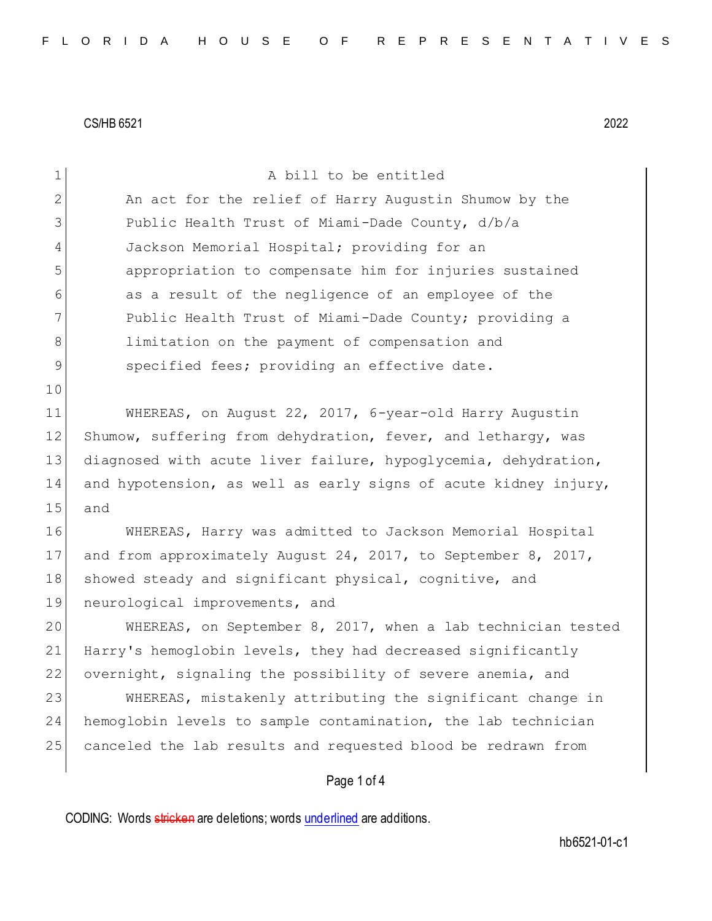10

1 A bill to be entitled 2 An act for the relief of Harry Augustin Shumow by the 3 Public Health Trust of Miami-Dade County, d/b/a 4 Jackson Memorial Hospital; providing for an 5 appropriation to compensate him for injuries sustained 6 as a result of the negligence of an employee of the 7 Public Health Trust of Miami-Dade County; providing a 8 1imitation on the payment of compensation and 9 specified fees; providing an effective date.

11 WHEREAS, on August 22, 2017, 6-year-old Harry Augustin 12 Shumow, suffering from dehydration, fever, and lethargy, was 13 diagnosed with acute liver failure, hypoglycemia, dehydration, 14 and hypotension, as well as early signs of acute kidney injury, 15 and

16 WHEREAS, Harry was admitted to Jackson Memorial Hospital 17 and from approximately August 24, 2017, to September 8, 2017, 18 showed steady and significant physical, cognitive, and 19 neurological improvements, and

20 WHEREAS, on September 8, 2017, when a lab technician tested 21 Harry's hemoglobin levels, they had decreased significantly 22 overnight, signaling the possibility of severe anemia, and

23 WHEREAS, mistakenly attributing the significant change in 24 hemoglobin levels to sample contamination, the lab technician 25 canceled the lab results and requested blood be redrawn from

## Page 1 of 4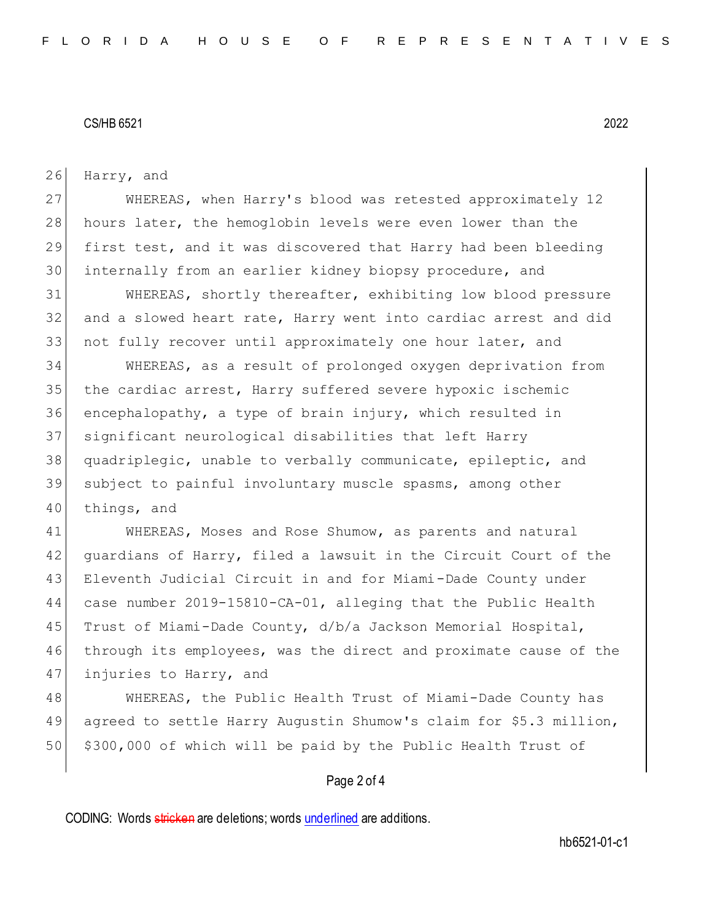26 Harry, and

 WHEREAS, when Harry's blood was retested approximately 12 28 hours later, the hemoglobin levels were even lower than the first test, and it was discovered that Harry had been bleeding internally from an earlier kidney biopsy procedure, and

31 WHEREAS, shortly thereafter, exhibiting low blood pressure 32 and a slowed heart rate, Harry went into cardiac arrest and did 33 not fully recover until approximately one hour later, and

 WHEREAS, as a result of prolonged oxygen deprivation from 35 the cardiac arrest, Harry suffered severe hypoxic ischemic encephalopathy, a type of brain injury, which resulted in significant neurological disabilities that left Harry quadriplegic, unable to verbally communicate, epileptic, and subject to painful involuntary muscle spasms, among other 40 things, and

41 WHEREAS, Moses and Rose Shumow, as parents and natural 42 guardians of Harry, filed a lawsuit in the Circuit Court of the 43 Eleventh Judicial Circuit in and for Miami-Dade County under 44 case number 2019-15810-CA-01, alleging that the Public Health 45 Trust of Miami-Dade County, d/b/a Jackson Memorial Hospital, 46 through its employees, was the direct and proximate cause of the 47 injuries to Harry, and

48 WHEREAS, the Public Health Trust of Miami-Dade County has 49 agreed to settle Harry Augustin Shumow's claim for \$5.3 million, 50 \$300,000 of which will be paid by the Public Health Trust of

### Page 2 of 4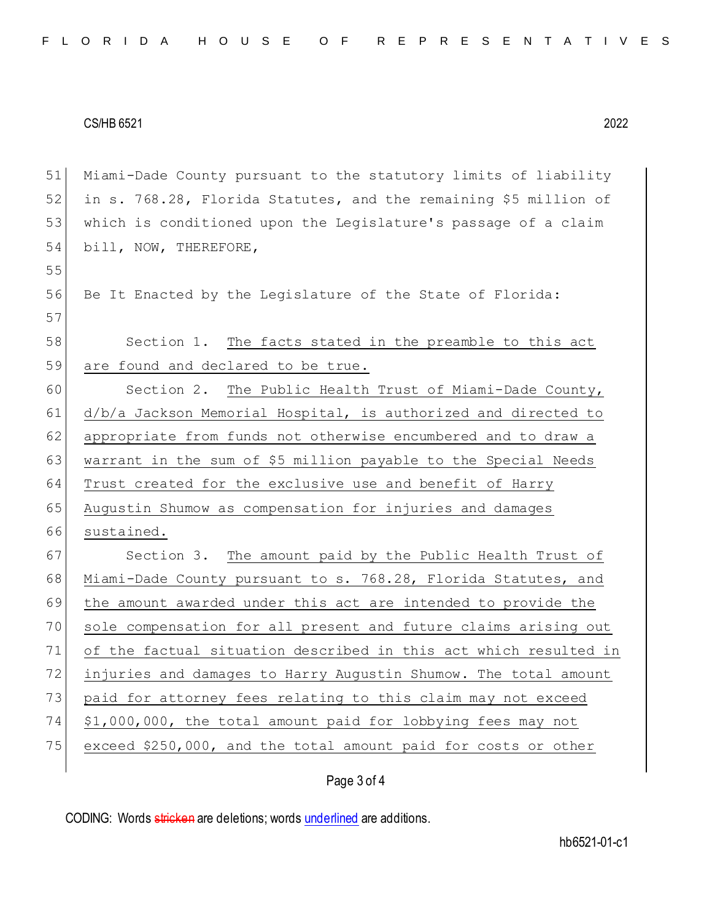55

 Miami-Dade County pursuant to the statutory limits of liability in s. 768.28, Florida Statutes, and the remaining \$5 million of which is conditioned upon the Legislature's passage of a claim 54 bill, NOW, THEREFORE,

56 Be It Enacted by the Legislature of the State of Florida: 57

# 58 Section 1. The facts stated in the preamble to this act 59 are found and declared to be true.

60 Section 2. The Public Health Trust of Miami-Dade County, 61 d/b/a Jackson Memorial Hospital, is authorized and directed to 62 appropriate from funds not otherwise encumbered and to draw a 63 warrant in the sum of \$5 million payable to the Special Needs 64 Trust created for the exclusive use and benefit of Harry 65 Augustin Shumow as compensation for injuries and damages 66 sustained. 67 Section 3. The amount paid by the Public Health Trust of 68 Miami-Dade County pursuant to s. 768.28, Florida Statutes, and 69 the amount awarded under this act are intended to provide the 70 sole compensation for all present and future claims arising out 71 of the factual situation described in this act which resulted in 72 injuries and damages to Harry Augustin Shumow. The total amount 73 paid for attorney fees relating to this claim may not exceed 74 \$1,000,000, the total amount paid for lobbying fees may not

75 exceed \$250,000, and the total amount paid for costs or other

## Page 3 of 4